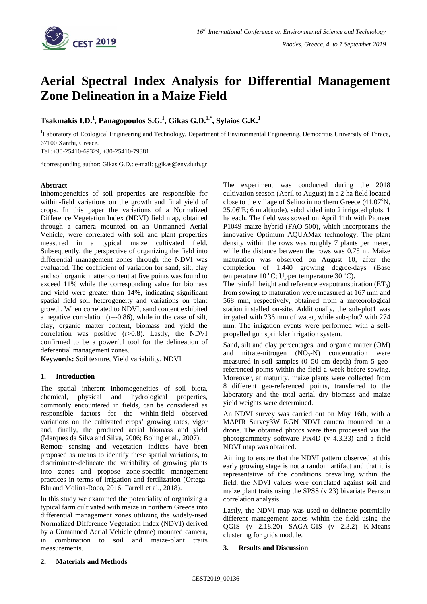

# **Aerial Spectral Index Analysis for Differential Management Zone Delineation in a Maize Field**

**Tsakmakis I.D.<sup>1</sup> , Panagopoulos S.G.<sup>1</sup> , Gikas G.D.1,\* , Sylaios G.K.<sup>1</sup>**

<sup>1</sup>Laboratory of Ecological Engineering and Technology, Department of Environmental Engineering, Democritus University of Thrace, 67100 Xanthi, Greece.

Tel.:+30-25410-69329, +30-25410-79381

\*corresponding author: Gikas G.D.: e-mail: ggikas@env.duth.gr

## **Abstract**

Inhomogeneities of soil properties are responsible for within-field variations on the growth and final yield of crops. In this paper the variations of a Normalized Difference Vegetation Index (NDVI) field map, obtained through a camera mounted on an Unmanned Aerial Vehicle, were correlated with soil and plant properties measured in a typical maize cultivated field. Subsequently, the perspective of organizing the field into differential management zones through the NDVI was evaluated. The coefficient of variation for sand, silt, clay and soil organic matter content at five points was found to exceed 11% while the corresponding value for biomass and yield were greater than 14%, indicating significant spatial field soil heterogeneity and variations on plant growth. When correlated to NDVI, sand content exhibited a negative correlation  $(r=-0.86)$ , while in the case of silt, clay, organic matter content, biomass and yield the correlation was positive (r>0.8). Lastly, the NDVI confirmed to be a powerful tool for the delineation of deferential management zones.

**Keywords:** Soil texture, Yield variability, NDVI

## **1. Introduction**

The spatial inherent inhomogeneities of soil biota, chemical, physical and hydrological properties, commonly encountered in fields, can be considered as responsible factors for the within-field observed variations on the cultivated crops' growing rates, vigor and, finally, the produced aerial biomass and yield (Marques da Silva and Silva, 2006; Boling et al., 2007). Remote sensing and vegetation indices have been proposed as means to identify these spatial variations, to discriminate-delineate the variability of growing plants into zones and propose zone-specific management practices in terms of irrigation and fertilization (Ortega-Blu and Molina-Roco, 2016; Farrell et al., 2018).

In this study we examined the potentiality of organizing a typical farm cultivated with maize in northern Greece into differential management zones utilizing the widely-used Normalized Difference Vegetation Index (NDVI) derived by a Unmanned Aerial Vehicle (drone) mounted camera, in combination to soil and maize-plant traits measurements.

The experiment was conducted during the 2018 cultivation season (April to August) in a 2 ha field located close to the village of Selino in northern Greece  $(41.07^{\circ}N,$ 25.06°E; 6 m altitude), subdivided into 2 irrigated plots, 1 ha each. The field was sowed on April 11th with Pioneer P1049 maize hybrid (FAO 500), which incorporates the innovative Optimum AQUAMax technology. The plant density within the rows was roughly 7 plants per meter, while the distance between the rows was 0.75 m. Maize maturation was observed on August 10, after the completion of 1,440 growing degree-days (Base temperature  $10^{\circ}$ C; Upper temperature  $30^{\circ}$ C).

The rainfall height and reference evapotranspiration  $(ET_0)$ from sowing to maturation were measured at 167 mm and 568 mm, respectively, obtained from a meteorological station installed on-site. Additionally, the sub-plot1 was irrigated with 236 mm of water, while sub-plot2 with 274 mm. The irrigation events were performed with a selfpropelled gun sprinkler irrigation system.

Sand, silt and clay percentages, and organic matter (OM) and nitrate-nitrogen  $(NO<sub>3</sub>-N)$  concentration were measured in soil samples (0–50 cm depth) from 5 georeferenced points within the field a week before sowing. Moreover, at maturity, maize plants were collected from 8 different geo-referenced points, transferred to the laboratory and the total aerial dry biomass and maize yield weights were determined.

An NDVI survey was carried out on May 16th, with a MAPIR Survey3W RGN NDVI camera mounted on a drone. The obtained photos were then processed via the photogrammetry software Pix4D (v 4.3.33) and a field NDVI map was obtained.

Aiming to ensure that the NDVI pattern observed at this early growing stage is not a random artifact and that it is representative of the conditions prevailing within the field, the NDVI values were correlated against soil and maize plant traits using the SPSS (v 23) bivariate Pearson correlation analysis.

Lastly, the NDVI map was used to delineate potentially different management zones within the field using the QGIS (v 2.18.20) SAGA-GIS (v 2.3.2) K-Means clustering for grids module.

### **3. Results and Discussion**

### **2. Materials and Methods**